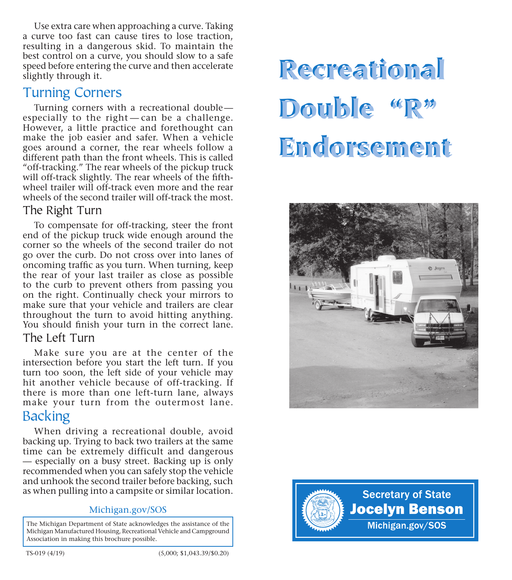Use extra care when approaching a curve. Taking a curve too fast can cause tires to lose traction, resulting in a dangerous skid. To maintain the best control on a curve, you should slow to a safe speed before entering the curve and then accelerate slightly through it.

## Turning Corners

Turning corners with a recreational double- especially to the right — can be a challenge. However, a little practice and forethought can make the job easier and safer. When a vehicle goes around a corner, the rear wheels follow a different path than the front wheels. This is called "off-tracking." The rear wheels of the pickup truck will off-track slightly. The rear wheels of the fifthwheel trailer will off-track even more and the rear wheels of the second trailer will off-track the most.

#### The Right Turn

To compensate for off-tracking, steer the front end of the pickup truck wide enough around the corner so the wheels of the second trailer do not go over the curb. Do not cross over into lanes of oncoming traffc as you turn. When turning, keep the rear of your last trailer as close as possible to the curb to prevent others from passing you on the right. Continually check your mirrors to make sure that your vehicle and trailers are clear throughout the turn to avoid hitting anything. You should fnish your turn in the correct lane.

#### The Left Turn

Make sure you are at the center of the intersection before you start the left turn. If you turn too soon, the left side of your vehicle may hit another vehicle because of off-tracking. If there is more than one left-turn lane, always make your turn from the outermost lane. **Backing** 

When driving a recreational double, avoid backing up. Trying to back two trailers at the same time can be extremely difficult and dangerous — especially on a busy street. Backing up is only recommended when you can safely stop the vehicle and unhook the second trailer before backing, such as when pulling into a campsite or similar location.

#### Michigan.gov/SOS

The Michigan Department of State acknowledges the assistance of the Michigan Manufactured Housing, Recreational Vehicle and Campground Association in making this brochure possible.

# Recreational Double "R" Endorsement